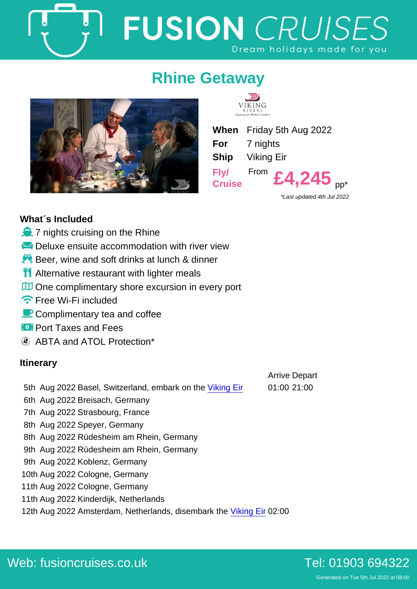# Rhine Getaway

When Friday 5th Aug 2022 For 7 nights Ship Viking Eir Fly/ **Cruise** From  $E4,245$  pp<sup>\*</sup>

\*Last updated 4th Jul 2022

Arrive Depart

## What´s Included

- $\dot{o}$  7 nights cruising on the Rhine
- ô¸ Deluxe ensuite accommodation with river view
- $\div$  Beer, wine and soft drinks at lunch & dinner
- **oc** Alternative restaurant with lighter meals
- òy One complimentary shore excursion in every port
- ñë Free Wi-Fi included
- ðô Complimentary tea and coffee
- óÑ Port Taxes and Fees

ABTA and ATOL Protection\*

### **Itinerary**

- 5th Aug 2022 Basel, Switzerland, embark on the [Viking Eir](https://fusioncruises.co.uk/river/viking/eir/) 01:00 21:00
- 6th Aug 2022 Breisach, Germany
- 7th Aug 2022 Strasbourg, France
- 8th Aug 2022 Speyer, Germany
- 8th Aug 2022 Rüdesheim am Rhein, Germany
- 9th Aug 2022 Rüdesheim am Rhein, Germany
- 9th Aug 2022 Koblenz, Germany
- 10th Aug 2022 Cologne, Germany
- 11th Aug 2022 Cologne, Germany
- 11th Aug 2022 Kinderdijk, Netherlands
- 12th Aug 2022 Amsterdam, Netherlands, disembark the [Viking Eir](https://fusioncruises.co.uk/river/viking/eir/) 02:00

Generated on Tue 5th Jul 2022 at 08:00